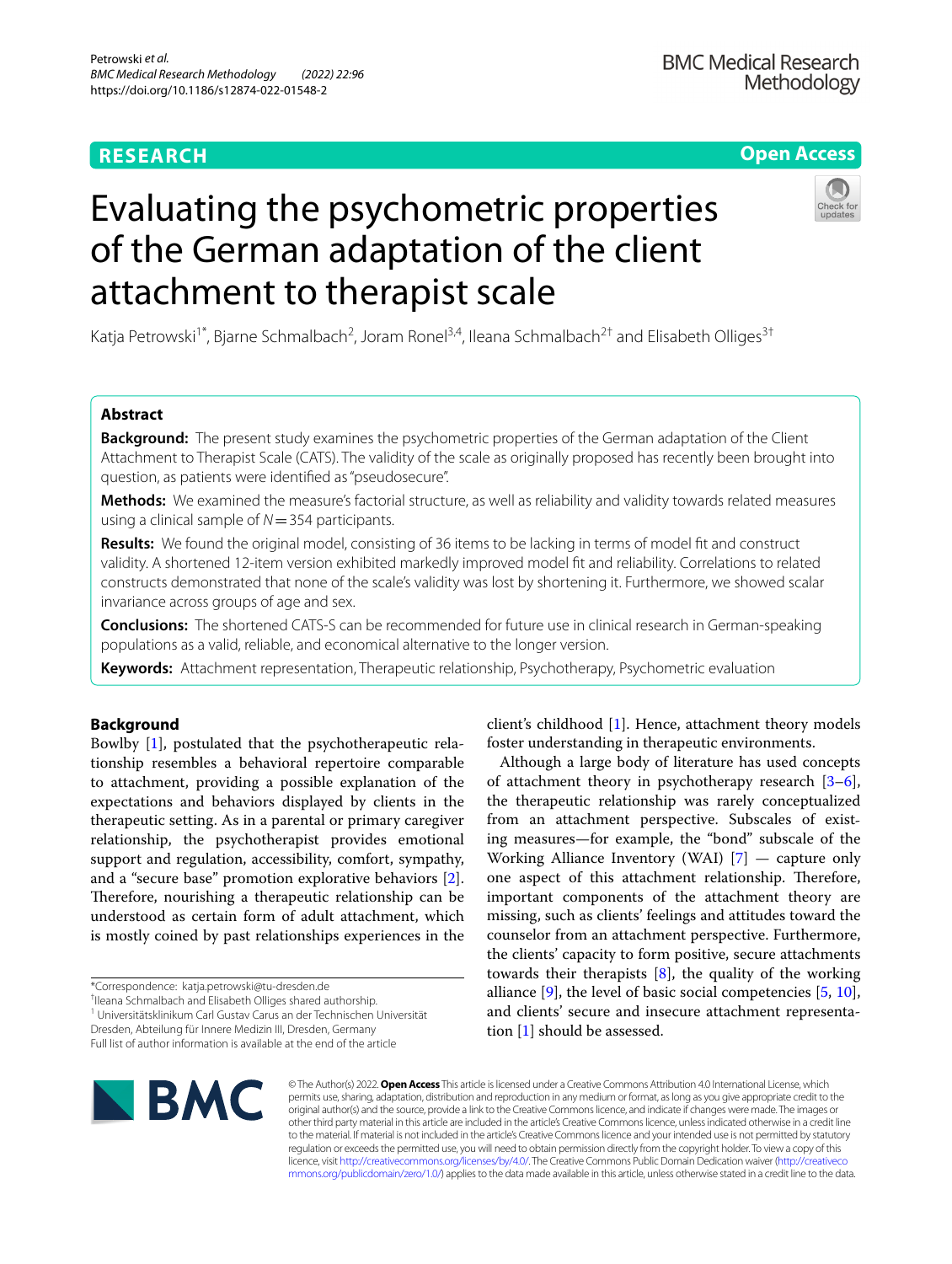# **RESEARCH**

# **Open Access**

# Evaluating the psychometric properties of the German adaptation of the client attachment to therapist scale

Katja Petrowski<sup>1\*</sup>, Bjarne Schmalbach<sup>2</sup>, Joram Ronel<sup>3,4</sup>, Ileana Schmalbach<sup>2†</sup> and Elisabeth Olliges<sup>3†</sup>

# **Abstract**

**Background:** The present study examines the psychometric properties of the German adaptation of the Client Attachment to Therapist Scale (CATS). The validity of the scale as originally proposed has recently been brought into question, as patients were identifed as "pseudosecure".

**Methods:** We examined the measure's factorial structure, as well as reliability and validity towards related measures using a clinical sample of *N*=354 participants.

**Results:** We found the original model, consisting of 36 items to be lacking in terms of model ft and construct validity. A shortened 12-item version exhibited markedly improved model ft and reliability. Correlations to related constructs demonstrated that none of the scale's validity was lost by shortening it. Furthermore, we showed scalar invariance across groups of age and sex.

**Conclusions:** The shortened CATS-S can be recommended for future use in clinical research in German-speaking populations as a valid, reliable, and economical alternative to the longer version.

**Keywords:** Attachment representation, Therapeutic relationship, Psychotherapy, Psychometric evaluation

### **Background**

Bowlby [\[1](#page-10-0)], postulated that the psychotherapeutic relationship resembles a behavioral repertoire comparable to attachment, providing a possible explanation of the expectations and behaviors displayed by clients in the therapeutic setting. As in a parental or primary caregiver relationship, the psychotherapist provides emotional support and regulation, accessibility, comfort, sympathy, and a "secure base" promotion explorative behaviors [\[2](#page-10-1)]. Therefore, nourishing a therapeutic relationship can be understood as certain form of adult attachment, which is mostly coined by past relationships experiences in the

\*Correspondence: katja.petrowski@tu-dresden.de

† Ileana Schmalbach and Elisabeth Olliges shared authorship.

1 Universitätsklinikum Carl Gustav Carus an der Technischen Universität Dresden, Abteilung für Innere Medizin III, Dresden, Germany

Full list of author information is available at the end of the article

client's childhood [[1\]](#page-10-0). Hence, attachment theory models foster understanding in therapeutic environments.

Although a large body of literature has used concepts of attachment theory in psychotherapy research [\[3](#page-10-2)[–6](#page-10-3)], the therapeutic relationship was rarely conceptualized from an attachment perspective. Subscales of existing measures—for example, the "bond" subscale of the Working Alliance Inventory (WAI) [\[7](#page-10-4)] — capture only one aspect of this attachment relationship. Therefore, important components of the attachment theory are missing, such as clients' feelings and attitudes toward the counselor from an attachment perspective. Furthermore, the clients' capacity to form positive, secure attachments towards their therapists [\[8](#page-10-5)], the quality of the working alliance  $[9]$  $[9]$  $[9]$ , the level of basic social competencies  $[5, 10]$  $[5, 10]$  $[5, 10]$  $[5, 10]$  $[5, 10]$ , and clients' secure and insecure attachment representation [[1\]](#page-10-0) should be assessed.



© The Author(s) 2022. **Open Access** This article is licensed under a Creative Commons Attribution 4.0 International License, which permits use, sharing, adaptation, distribution and reproduction in any medium or format, as long as you give appropriate credit to the original author(s) and the source, provide a link to the Creative Commons licence, and indicate if changes were made. The images or other third party material in this article are included in the article's Creative Commons licence, unless indicated otherwise in a credit line to the material. If material is not included in the article's Creative Commons licence and your intended use is not permitted by statutory regulation or exceeds the permitted use, you will need to obtain permission directly from the copyright holder. To view a copy of this licence, visit [http://creativecommons.org/licenses/by/4.0/.](http://creativecommons.org/licenses/by/4.0/) The Creative Commons Public Domain Dedication waiver ([http://creativeco](http://creativecommons.org/publicdomain/zero/1.0/) [mmons.org/publicdomain/zero/1.0/](http://creativecommons.org/publicdomain/zero/1.0/)) applies to the data made available in this article, unless otherwise stated in a credit line to the data.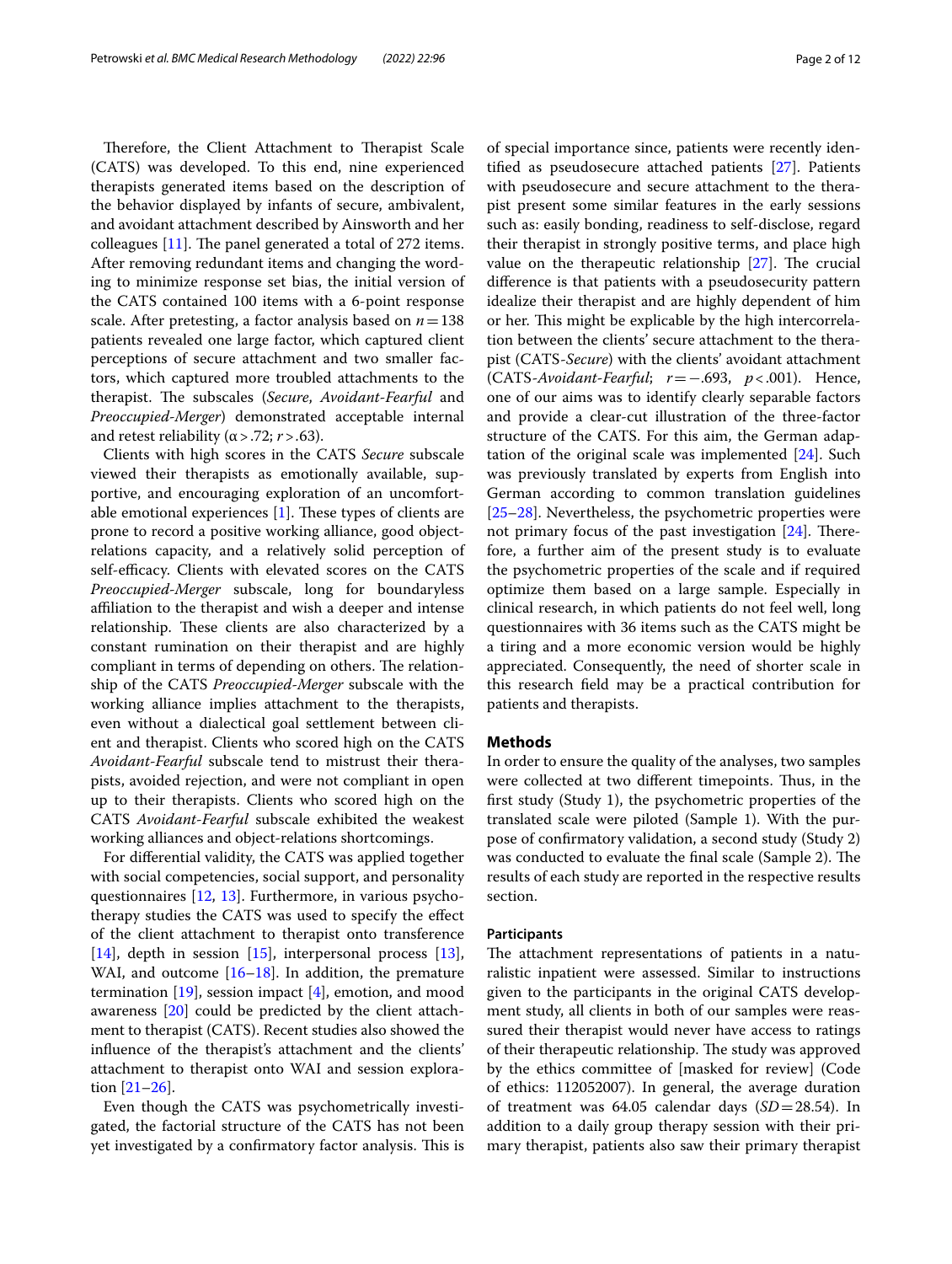Therefore, the Client Attachment to Therapist Scale (CATS) was developed. To this end, nine experienced therapists generated items based on the description of the behavior displayed by infants of secure, ambivalent, and avoidant attachment described by Ainsworth and her colleagues  $[11]$  $[11]$ . The panel generated a total of 272 items. After removing redundant items and changing the wording to minimize response set bias, the initial version of the CATS contained 100 items with a 6-point response scale. After pretesting, a factor analysis based on *n*=138 patients revealed one large factor, which captured client perceptions of secure attachment and two smaller factors, which captured more troubled attachments to the therapist. The subscales (*Secure*, *Avoidant-Fearful* and *Preoccupied-Merger*) demonstrated acceptable internal and retest reliability ( $\alpha$  > .72; *r* > .63).

Clients with high scores in the CATS *Secure* subscale viewed their therapists as emotionally available, supportive, and encouraging exploration of an uncomfortable emotional experiences  $[1]$  $[1]$ . These types of clients are prone to record a positive working alliance, good objectrelations capacity, and a relatively solid perception of self-efficacy. Clients with elevated scores on the CATS *Preoccupied-Merger* subscale, long for boundaryless affiliation to the therapist and wish a deeper and intense relationship. These clients are also characterized by a constant rumination on their therapist and are highly compliant in terms of depending on others. The relationship of the CATS *Preoccupied-Merger* subscale with the working alliance implies attachment to the therapists, even without a dialectical goal settlement between client and therapist. Clients who scored high on the CATS *Avoidant-Fearful* subscale tend to mistrust their therapists, avoided rejection, and were not compliant in open up to their therapists. Clients who scored high on the CATS *Avoidant-Fearful* subscale exhibited the weakest working alliances and object-relations shortcomings.

For diferential validity, the CATS was applied together with social competencies, social support, and personality questionnaires [[12,](#page-10-10) [13\]](#page-10-11). Furthermore, in various psychotherapy studies the CATS was used to specify the efect of the client attachment to therapist onto transference [[14\]](#page-10-12), depth in session [[15\]](#page-10-13), interpersonal process [\[13](#page-10-11)], WAI, and outcome [[16–](#page-10-14)[18](#page-10-15)]. In addition, the premature termination  $[19]$  $[19]$ , session impact  $[4]$  $[4]$ , emotion, and mood awareness [\[20](#page-10-18)] could be predicted by the client attachment to therapist (CATS). Recent studies also showed the infuence of the therapist's attachment and the clients' attachment to therapist onto WAI and session exploration [[21–](#page-10-19)[26](#page-10-20)].

Even though the CATS was psychometrically investigated, the factorial structure of the CATS has not been yet investigated by a confirmatory factor analysis. This is of special importance since, patients were recently identifed as pseudosecure attached patients [[27](#page-10-21)]. Patients with pseudosecure and secure attachment to the therapist present some similar features in the early sessions such as: easily bonding, readiness to self-disclose, regard their therapist in strongly positive terms, and place high value on the therapeutic relationship  $[27]$ . The crucial diference is that patients with a pseudosecurity pattern idealize their therapist and are highly dependent of him or her. This might be explicable by the high intercorrelation between the clients' secure attachment to the therapist (CATS-*Secure*) with the clients' avoidant attachment (CATS-*Avoidant-Fearful*; *r*=−.693, *p*<.001). Hence, one of our aims was to identify clearly separable factors and provide a clear-cut illustration of the three-factor structure of the CATS. For this aim, the German adaptation of the original scale was implemented [[24](#page-10-22)]. Such was previously translated by experts from English into German according to common translation guidelines [[25–](#page-10-23)[28\]](#page-10-24). Nevertheless, the psychometric properties were not primary focus of the past investigation  $[24]$  $[24]$  $[24]$ . Therefore, a further aim of the present study is to evaluate the psychometric properties of the scale and if required optimize them based on a large sample. Especially in clinical research, in which patients do not feel well, long questionnaires with 36 items such as the CATS might be a tiring and a more economic version would be highly appreciated. Consequently, the need of shorter scale in this research feld may be a practical contribution for patients and therapists.

#### **Methods**

In order to ensure the quality of the analyses, two samples were collected at two different timepoints. Thus, in the frst study (Study 1), the psychometric properties of the translated scale were piloted (Sample 1). With the purpose of confrmatory validation, a second study (Study 2) was conducted to evaluate the final scale (Sample 2). The results of each study are reported in the respective results section.

#### **Participants**

The attachment representations of patients in a naturalistic inpatient were assessed. Similar to instructions given to the participants in the original CATS development study, all clients in both of our samples were reassured their therapist would never have access to ratings of their therapeutic relationship. The study was approved by the ethics committee of [masked for review] (Code of ethics: 112052007). In general, the average duration of treatment was 64.05 calendar days (*SD*=28.54). In addition to a daily group therapy session with their primary therapist, patients also saw their primary therapist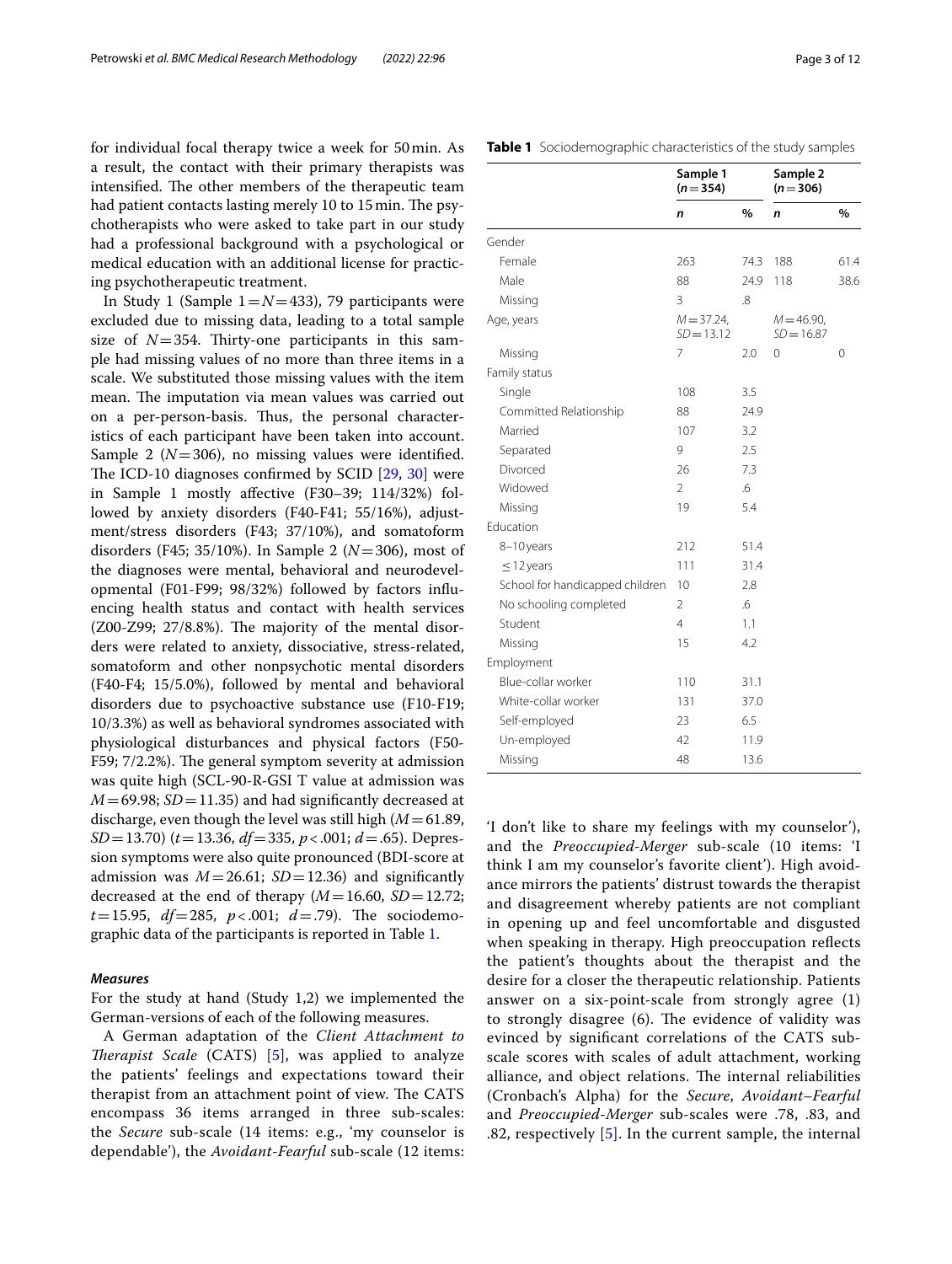for individual focal therapy twice a week for 50min. As a result, the contact with their primary therapists was intensified. The other members of the therapeutic team had patient contacts lasting merely 10 to 15 min. The psychotherapists who were asked to take part in our study had a professional background with a psychological or medical education with an additional license for practicing psychotherapeutic treatment.

In Study 1 (Sample  $1 = N = 433$ ), 79 participants were excluded due to missing data, leading to a total sample size of  $N=354$ . Thirty-one participants in this sample had missing values of no more than three items in a scale. We substituted those missing values with the item mean. The imputation via mean values was carried out on a per-person-basis. Thus, the personal characteristics of each participant have been taken into account. Sample 2 ( $N=306$ ), no missing values were identified. The ICD-10 diagnoses confirmed by SCID  $[29, 30]$  $[29, 30]$  $[29, 30]$  $[29, 30]$  were in Sample 1 mostly afective (F30–39; 114/32%) followed by anxiety disorders (F40-F41; 55/16%), adjustment/stress disorders (F43; 37/10%), and somatoform disorders (F45; 35/10%). In Sample 2 (*N*=306), most of the diagnoses were mental, behavioral and neurodevelopmental (F01-F99; 98/32%) followed by factors infuencing health status and contact with health services  $(Z00-Z99; 27/8.8%)$ . The majority of the mental disorders were related to anxiety, dissociative, stress-related, somatoform and other nonpsychotic mental disorders (F40-F4; 15/5.0%), followed by mental and behavioral disorders due to psychoactive substance use (F10-F19; 10/3.3%) as well as behavioral syndromes associated with physiological disturbances and physical factors (F50- F59;  $7/2.2\%$ ). The general symptom severity at admission was quite high (SCL-90-R-GSI T value at admission was  $M = 69.98$ ; *SD* = 11.35) and had significantly decreased at discharge, even though the level was still high (*M*=61.89, *SD*=13.70) (*t*=13.36, *df*=335, *p*<.001; *d*=.65). Depression symptoms were also quite pronounced (BDI-score at admission was  $M = 26.61$ ;  $SD = 12.36$ ) and significantly decreased at the end of therapy  $(M=16.60, SD=12.72;$  $t=15.95$ ,  $df=285$ ,  $p<0.001$ ;  $d=.79$ ). The sociodemographic data of the participants is reported in Table [1](#page-2-0).

#### *Measures*

For the study at hand (Study 1,2) we implemented the German-versions of each of the following measures.

A German adaptation of the *Client Attachment to Therapist Scale* (CATS) [\[5](#page-10-7)], was applied to analyze the patients' feelings and expectations toward their therapist from an attachment point of view. The CATS encompass 36 items arranged in three sub-scales: the *Secure* sub-scale (14 items: e.g., 'my counselor is dependable'), the *Avoidant-Fearful* sub-scale (12 items:

#### <span id="page-2-0"></span>**Table 1** Sociodemographic characteristics of the study samples

|                                 | Sample 1<br>$(n=354)$         |      | Sample 2<br>$(n=306)$         |      |  |
|---------------------------------|-------------------------------|------|-------------------------------|------|--|
|                                 | n                             | %    | n                             | %    |  |
| Gender                          |                               |      |                               |      |  |
| Female                          | 263                           | 74.3 | 188                           | 61.4 |  |
| Male                            | 88                            | 24.9 | 118                           | 38.6 |  |
| Missing                         | 3                             | .8   |                               |      |  |
| Age, years                      | $M = 37.24$ ,<br>$SD = 13.12$ |      | $M = 46.90$ ,<br>$SD = 16.87$ |      |  |
| Missing                         | $\overline{7}$                | 2.0  | 0                             | 0    |  |
| Family status                   |                               |      |                               |      |  |
| Single                          | 108                           | 3.5  |                               |      |  |
| Committed Relationship          | 88                            | 24.9 |                               |      |  |
| Married                         | 107                           | 3.2  |                               |      |  |
| Separated                       | 9                             | 2.5  |                               |      |  |
| Divorced                        | 26                            | 7.3  |                               |      |  |
| Widowed                         | $\overline{2}$                | .6   |                               |      |  |
| Missing                         | 19                            | 5.4  |                               |      |  |
| Education                       |                               |      |                               |      |  |
| 8-10 years                      | 212                           | 51.4 |                               |      |  |
| $\leq$ 12 years                 | 111                           | 31.4 |                               |      |  |
| School for handicapped children | 10                            | 2.8  |                               |      |  |
| No schooling completed          | $\overline{2}$                | .6   |                               |      |  |
| Student                         | $\overline{4}$                | 1.1  |                               |      |  |
| Missing                         | 15                            | 4.2  |                               |      |  |
| Employment                      |                               |      |                               |      |  |
| Blue-collar worker              | 110                           | 31.1 |                               |      |  |
| White-collar worker             | 131                           | 37.0 |                               |      |  |
| Self-employed                   | 23                            | 6.5  |                               |      |  |
| Un-employed                     | 42                            | 11.9 |                               |      |  |
| Missing                         | 48                            | 13.6 |                               |      |  |

'I don't like to share my feelings with my counselor'), and the *Preoccupied-Merger* sub-scale (10 items: 'I think I am my counselor's favorite client'). High avoidance mirrors the patients' distrust towards the therapist and disagreement whereby patients are not compliant in opening up and feel uncomfortable and disgusted when speaking in therapy. High preoccupation reflects the patient's thoughts about the therapist and the desire for a closer the therapeutic relationship. Patients answer on a six-point-scale from strongly agree (1) to strongly disagree  $(6)$ . The evidence of validity was evinced by signifcant correlations of the CATS subscale scores with scales of adult attachment, working alliance, and object relations. The internal reliabilities (Cronbach's Alpha) for the *Secure*, *Avoidant–Fearful* and *Preoccupied-Merger* sub-scales were .78, .83, and .82, respectively [[5\]](#page-10-7). In the current sample, the internal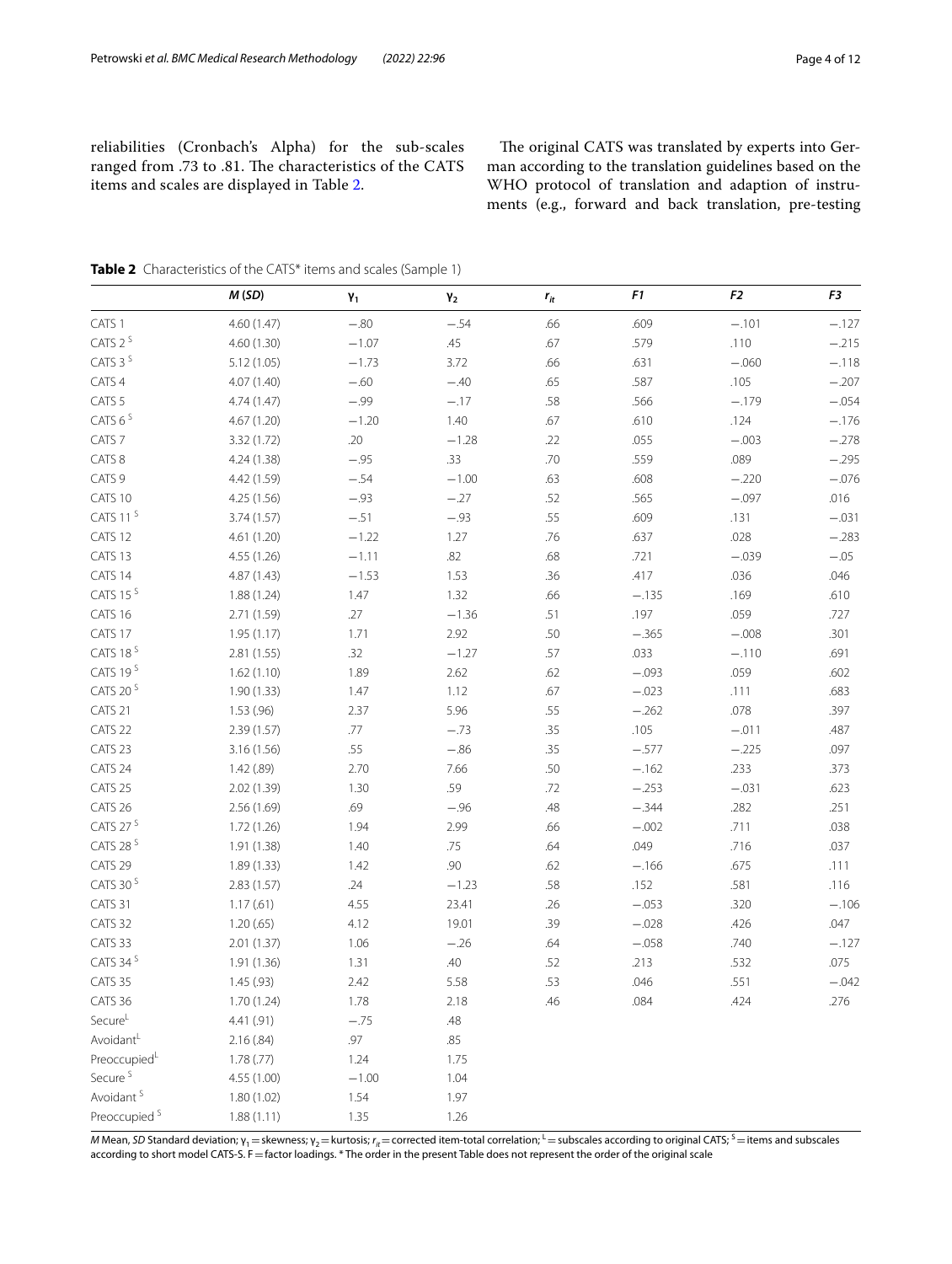reliabilities (Cronbach's Alpha) for the sub-scales ranged from .73 to .81. The characteristics of the CATS items and scales are displayed in Table [2.](#page-3-0)

The original CATS was translated by experts into German according to the translation guidelines based on the WHO protocol of translation and adaption of instruments (e.g., forward and back translation, pre-testing

|                          | M(SD)       | $\pmb{\mathsf{Y}}_1$ | $\pmb{\gamma}_2$ | $r_{it}$ | F1      | F <sub>2</sub> | F3      |
|--------------------------|-------------|----------------------|------------------|----------|---------|----------------|---------|
| CATS 1                   | 4.60 (1.47) | $-.80$               | $-.54$           | .66      | .609    | $-.101$        | $-.127$ |
| CATS 2 <sup>S</sup>      | 4.60 (1.30) | $-1.07$              | .45              | .67      | .579    | .110           | $-.215$ |
| CATS 3 <sup>S</sup>      | 5.12(1.05)  | $-1.73$              | 3.72             | .66      | .631    | $-.060$        | $-.118$ |
| CATS 4                   | 4.07 (1.40) | $-.60$               | $-.40$           | .65      | .587    | .105           | $-.207$ |
| CATS <sub>5</sub>        | 4.74 (1.47) | $-.99$               | $-.17$           | .58      | .566    | $-.179$        | $-.054$ |
| CATS 6 <sup>S</sup>      | 4.67 (1.20) | $-1.20$              | 1.40             | .67      | .610    | .124           | $-.176$ |
| CATS <sub>7</sub>        | 3.32 (1.72) | .20                  | $-1.28$          | .22      | .055    | $-.003$        | $-.278$ |
| CATS 8                   | 4.24 (1.38) | $-.95$               | .33              | .70      | .559    | .089           | $-.295$ |
| CATS 9                   | 4.42 (1.59) | $-.54$               | $-1.00$          | .63      | .608    | $-.220$        | $-.076$ |
| CATS 10                  | 4.25 (1.56) | $-.93$               | $-.27$           | .52      | .565    | $-.097$        | .016    |
| CATS 11 <sup>S</sup>     | 3.74(1.57)  | $-.51$               | $-.93$           | .55      | .609    | .131           | $-.031$ |
| CATS 12                  | 4.61 (1.20) | $-1.22$              | 1.27             | .76      | .637    | .028           | $-.283$ |
| CATS 13                  | 4.55 (1.26) | $-1.11$              | .82              | .68      | .721    | $-.039$        | $-.05$  |
| CATS 14                  | 4.87 (1.43) | $-1.53$              | 1.53             | .36      | .417    | .036           | .046    |
| CATS 15 <sup>S</sup>     | 1.88 (1.24) | 1.47                 | 1.32             | .66      | $-.135$ | .169           | .610    |
| CATS 16                  | 2.71 (1.59) | .27                  | $-1.36$          | .51      | .197    | .059           | .727    |
| CATS 17                  | 1.95(1.17)  | 1.71                 | 2.92             | .50      | $-.365$ | $-.008$        | .301    |
| CATS 18 <sup>S</sup>     | 2.81 (1.55) | .32                  | $-1.27$          | .57      | .033    | $-.110$        | .691    |
| CATS 19 <sup>S</sup>     | 1.62(1.10)  | 1.89                 | 2.62             | .62      | $-.093$ | .059           | .602    |
| CATS 20 <sup>S</sup>     | 1.90(1.33)  | 1.47                 | 1.12             | .67      | $-.023$ | .111           | .683    |
| CATS 21                  | 1.53 (.96)  | 2.37                 | 5.96             | .55      | $-.262$ | .078           | .397    |
| CATS 22                  | 2.39 (1.57) | .77                  | $-.73$           | .35      | .105    | $-.011$        | .487    |
| CATS 23                  | 3.16 (1.56) | .55                  | $-.86$           | .35      | $-.577$ | $-.225$        | .097    |
| CATS 24                  | 1.42 (.89)  | 2.70                 | 7.66             | .50      | $-.162$ | .233           | .373    |
| CATS 25                  | 2.02 (1.39) | 1.30                 | .59              | .72      | $-.253$ | $-.031$        | .623    |
| CATS 26                  | 2.56 (1.69) | .69                  | $-.96$           | .48      | $-.344$ | .282           | .251    |
| CATS 27 <sup>S</sup>     | 1.72 (1.26) | 1.94                 | 2.99             | .66      | $-.002$ | .711           | .038    |
| CATS 28 <sup>S</sup>     | 1.91 (1.38) | 1.40                 | .75              | .64      | .049    | .716           | .037    |
| CATS 29                  | 1.89 (1.33) | 1.42                 | .90              | .62      | $-.166$ | .675           | .111    |
| CATS 30 <sup>S</sup>     | 2.83(1.57)  | .24                  | $-1.23$          | .58      | .152    | .581           | .116    |
| CATS 31                  | 1.17(0.61)  | 4.55                 | 23.41            | .26      | $-.053$ | .320           | $-.106$ |
| CATS 32                  | 1.20(65)    | 4.12                 | 19.01            | .39      | $-.028$ | .426           | .047    |
| CATS 33                  | 2.01 (1.37) | 1.06                 | $-.26$           | .64      | $-.058$ | .740           | $-.127$ |
| CATS 34 <sup>S</sup>     | 1.91 (1.36) | 1.31                 | .40              | .52      | .213    | .532           | .075    |
| CATS 35                  | 1.45 (.93)  | 2.42                 | 5.58             | .53      | .046    | .551           | $-.042$ |
| CATS 36                  | 1.70 (1.24) | 1.78                 | 2.18             | .46      | .084    | .424           | .276    |
| Secure <sup>L</sup>      | 4.41 (.91)  | $-.75$               | .48              |          |         |                |         |
| Avoidant <sup>L</sup>    | 2.16(.84)   | .97                  | .85              |          |         |                |         |
| PreoccupiedL             | 1.78(.77)   | 1.24                 | 1.75             |          |         |                |         |
| Secure <sup>S</sup>      | 4.55 (1.00) | $-1.00$              | 1.04             |          |         |                |         |
| Avoidant <sup>5</sup>    | 1.80 (1.02) | 1.54                 | 1.97             |          |         |                |         |
| Preoccupied <sup>5</sup> | 1.88(1.11)  | 1.35                 | 1.26             |          |         |                |         |

<span id="page-3-0"></span>**Table 2** Characteristics of the CATS\* items and scales (Sample 1)

*M* Mean, *SD* Standard deviation; γ<sub>1</sub> = skewness; γ<sub>2</sub> = kurtosis; *r<sub>it</sub>* = corrected item-total correlation; <sup>L</sup> = subscales according to original CATS; <sup>S</sup> = items and subscales according to short model CATS-S. F=factor loadings. \* The order in the present Table does not represent the order of the original scale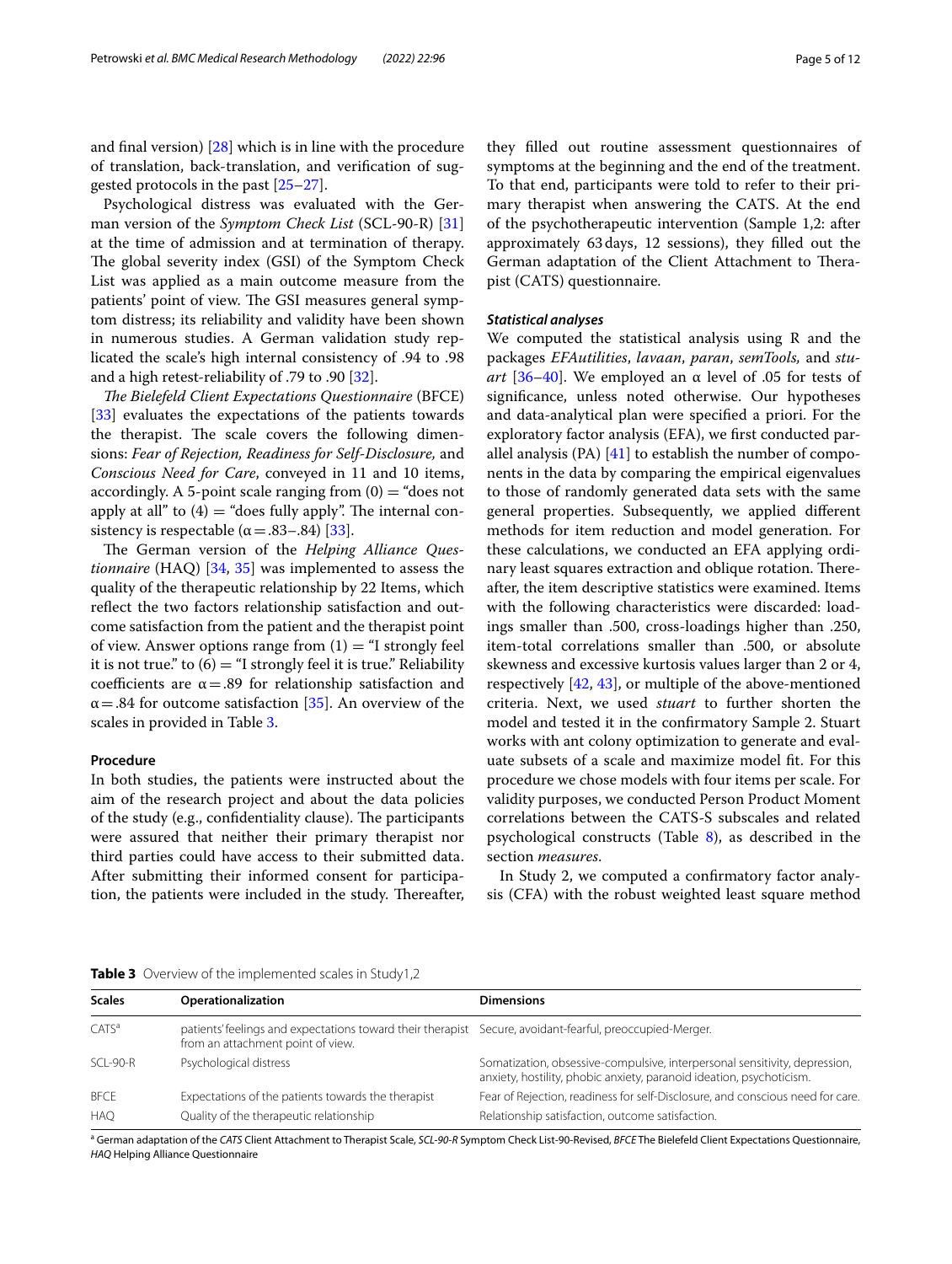and fnal version) [\[28\]](#page-10-24) which is in line with the procedure of translation, back-translation, and verifcation of suggested protocols in the past [\[25–](#page-10-23)[27\]](#page-10-21).

Psychological distress was evaluated with the German version of the *Symptom Check List* (SCL-90-R) [[31](#page-10-27)] at the time of admission and at termination of therapy. The global severity index (GSI) of the Symptom Check List was applied as a main outcome measure from the patients' point of view. The GSI measures general symptom distress; its reliability and validity have been shown in numerous studies. A German validation study replicated the scale's high internal consistency of .94 to .98 and a high retest-reliability of .79 to .90 [\[32](#page-10-28)].

*The Bielefeld Client Expectations Questionnaire* (BFCE) [[33\]](#page-10-29) evaluates the expectations of the patients towards the therapist. The scale covers the following dimensions: *Fear of Rejection, Readiness for Self-Disclosure,* and *Conscious Need for Care*, conveyed in 11 and 10 items, accordingly. A 5-point scale ranging from  $(0) =$  "does not apply at all" to  $(4)$  = "does fully apply". The internal consistency is respectable ( $\alpha = .83-.84$ ) [[33](#page-10-29)].

The German version of the *Helping Alliance Questionnaire* (HAQ) [[34,](#page-10-30) [35\]](#page-10-31) was implemented to assess the quality of the therapeutic relationship by 22 Items, which reflect the two factors relationship satisfaction and outcome satisfaction from the patient and the therapist point of view. Answer options range from  $(1) =$  "I strongly feel it is not true." to  $(6) =$  "I strongly feel it is true." Reliability coefficients are  $\alpha = .89$  for relationship satisfaction and  $\alpha$  = .84 for outcome satisfaction [\[35\]](#page-10-31). An overview of the scales in provided in Table [3.](#page-4-0)

#### **Procedure**

In both studies, the patients were instructed about the aim of the research project and about the data policies of the study (e.g., confidentiality clause). The participants were assured that neither their primary therapist nor third parties could have access to their submitted data. After submitting their informed consent for participation, the patients were included in the study. Thereafter,

they flled out routine assessment questionnaires of symptoms at the beginning and the end of the treatment. To that end, participants were told to refer to their primary therapist when answering the CATS. At the end of the psychotherapeutic intervention (Sample 1,2: after approximately 63days, 12 sessions), they flled out the German adaptation of the Client Attachment to Therapist (CATS) questionnaire.

#### *Statistical analyses*

We computed the statistical analysis using R and the packages *EFAutilities*, *lavaan*, *paran*, *semTools,* and *stuart* [[36–](#page-10-32)[40](#page-10-33)]. We employed an  $\alpha$  level of .05 for tests of signifcance, unless noted otherwise. Our hypotheses and data-analytical plan were specifed a priori. For the exploratory factor analysis (EFA), we frst conducted parallel analysis (PA)  $[41]$  $[41]$  to establish the number of components in the data by comparing the empirical eigenvalues to those of randomly generated data sets with the same general properties. Subsequently, we applied diferent methods for item reduction and model generation. For these calculations, we conducted an EFA applying ordinary least squares extraction and oblique rotation. Thereafter, the item descriptive statistics were examined. Items with the following characteristics were discarded: loadings smaller than .500, cross-loadings higher than .250, item-total correlations smaller than .500, or absolute skewness and excessive kurtosis values larger than 2 or 4, respectively [[42,](#page-10-35) [43\]](#page-10-36), or multiple of the above-mentioned criteria. Next, we used *stuart* to further shorten the model and tested it in the confrmatory Sample 2. Stuart works with ant colony optimization to generate and evaluate subsets of a scale and maximize model ft. For this procedure we chose models with four items per scale. For validity purposes, we conducted Person Product Moment correlations between the CATS-S subscales and related psychological constructs (Table  $8$ ), as described in the section *measures*.

In Study 2, we computed a confrmatory factor analysis (CFA) with the robust weighted least square method

<span id="page-4-0"></span>

|  | <b>Table 3</b> Overview of the implemented scales in Study1,2 |  |  |  |  |  |  |
|--|---------------------------------------------------------------|--|--|--|--|--|--|
|--|---------------------------------------------------------------|--|--|--|--|--|--|

a German adaptation of the *CATS* Client Attachment to Therapist Scale, *SCL-90-R* Symptom Check List-90-Revised, *BFCE* The Bielefeld Client Expectations Questionnaire, *HAQ* Helping Alliance Questionnaire

| <b>Scales</b>     | Operationalization                                                                                                                            | <b>Dimensions</b>                                                                                                                                  |
|-------------------|-----------------------------------------------------------------------------------------------------------------------------------------------|----------------------------------------------------------------------------------------------------------------------------------------------------|
| CATS <sup>a</sup> | patients' feelings and expectations toward their therapist Secure, avoidant-fearful, preoccupied-Merger.<br>from an attachment point of view. |                                                                                                                                                    |
| $SCI - 90-R$      | Psychological distress                                                                                                                        | Somatization, obsessive-compulsive, interpersonal sensitivity, depression,<br>anxiety, hostility, phobic anxiety, paranoid ideation, psychoticism. |
| <b>BFCE</b>       | Expectations of the patients towards the therapist                                                                                            | Fear of Rejection, readiness for self-Disclosure, and conscious need for care.                                                                     |
| <b>HAQ</b>        | Quality of the therapeutic relationship                                                                                                       | Relationship satisfaction, outcome satisfaction.                                                                                                   |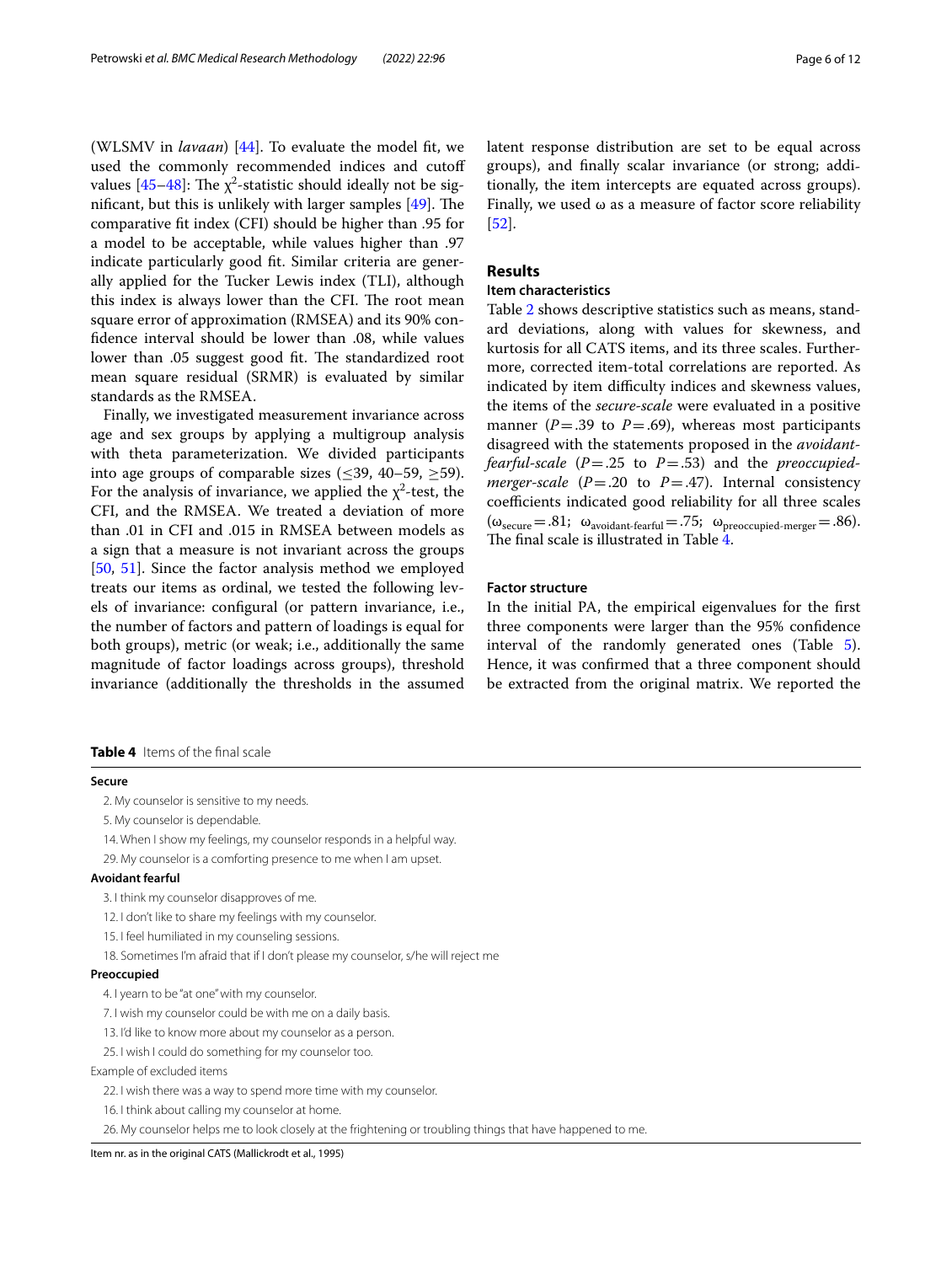(WLSMV in *lavaan*) [[44\]](#page-10-37). To evaluate the model ft, we used the commonly recommended indices and cutof values [\[45–](#page-10-38)[48\]](#page-11-0): The  $\chi^2$ -statistic should ideally not be significant, but this is unlikely with larger samples  $[49]$ . The comparative ft index (CFI) should be higher than .95 for a model to be acceptable, while values higher than .97 indicate particularly good ft. Similar criteria are generally applied for the Tucker Lewis index (TLI), although this index is always lower than the CFI. The root mean square error of approximation (RMSEA) and its 90% confdence interval should be lower than .08, while values lower than .05 suggest good fit. The standardized root mean square residual (SRMR) is evaluated by similar standards as the RMSEA.

Finally, we investigated measurement invariance across age and sex groups by applying a multigroup analysis with theta parameterization. We divided participants into age groups of comparable sizes ( $\leq$ 39, 40–59,  $\geq$ 59). For the analysis of invariance, we applied the  $\chi^2$ -test, the CFI, and the RMSEA. We treated a deviation of more than .01 in CFI and .015 in RMSEA between models as a sign that a measure is not invariant across the groups [[50,](#page-11-2) [51](#page-11-3)]. Since the factor analysis method we employed treats our items as ordinal, we tested the following levels of invariance: confgural (or pattern invariance, i.e., the number of factors and pattern of loadings is equal for both groups), metric (or weak; i.e., additionally the same magnitude of factor loadings across groups), threshold invariance (additionally the thresholds in the assumed

<span id="page-5-0"></span>**Table 4** Items of the fnal scale

#### **Secure**

2. My counselor is sensitive to my needs.

5. My counselor is dependable.

14. When I show my feelings, my counselor responds in a helpful way.

29. My counselor is a comforting presence to me when I am upset.

#### **Avoidant fearful**

3. I think my counselor disapproves of me.

12. I don't like to share my feelings with my counselor.

15. I feel humiliated in my counseling sessions.

18. Sometimes I'm afraid that if I don't please my counselor, s/he will reject me

#### **Preoccupied**

4. I yearn to be "at one" with my counselor.

7. I wish my counselor could be with me on a daily basis.

13. I'd like to know more about my counselor as a person.

25. I wish I could do something for my counselor too.

#### Example of excluded items

22. I wish there was a way to spend more time with my counselor.

16. I think about calling my counselor at home.

26. My counselor helps me to look closely at the frightening or troubling things that have happened to me.

Item nr. as in the original CATS (Mallickrodt et al., 1995)

latent response distribution are set to be equal across groups), and fnally scalar invariance (or strong; additionally, the item intercepts are equated across groups). Finally, we used  $\omega$  as a measure of factor score reliability [[52\]](#page-11-4).

## **Results**

#### **Item characteristics**

Table [2](#page-3-0) shows descriptive statistics such as means, standard deviations, along with values for skewness, and kurtosis for all CATS items, and its three scales. Furthermore, corrected item-total correlations are reported. As indicated by item difficulty indices and skewness values, the items of the *secure-scale* were evaluated in a positive manner ( $P = .39$  to  $P = .69$ ), whereas most participants disagreed with the statements proposed in the *avoidantfearful-scale* (*P*=.25 to *P*=.53) and the *preoccupiedmerger-scale* ( $P = .20$  to  $P = .47$ ). Internal consistency coefficients indicated good reliability for all three scales  $(\omega_{\text{secure}}=.81; \omega_{\text{avoidant-ferful}}=.75; \omega_{\text{preoccupied-merger}}=.86).$ The final scale is illustrated in Table  $\overline{4}$ .

#### **Factor structure**

In the initial PA, the empirical eigenvalues for the frst three components were larger than the 95% confdence interval of the randomly generated ones (Table [5](#page-6-0)). Hence, it was confrmed that a three component should be extracted from the original matrix. We reported the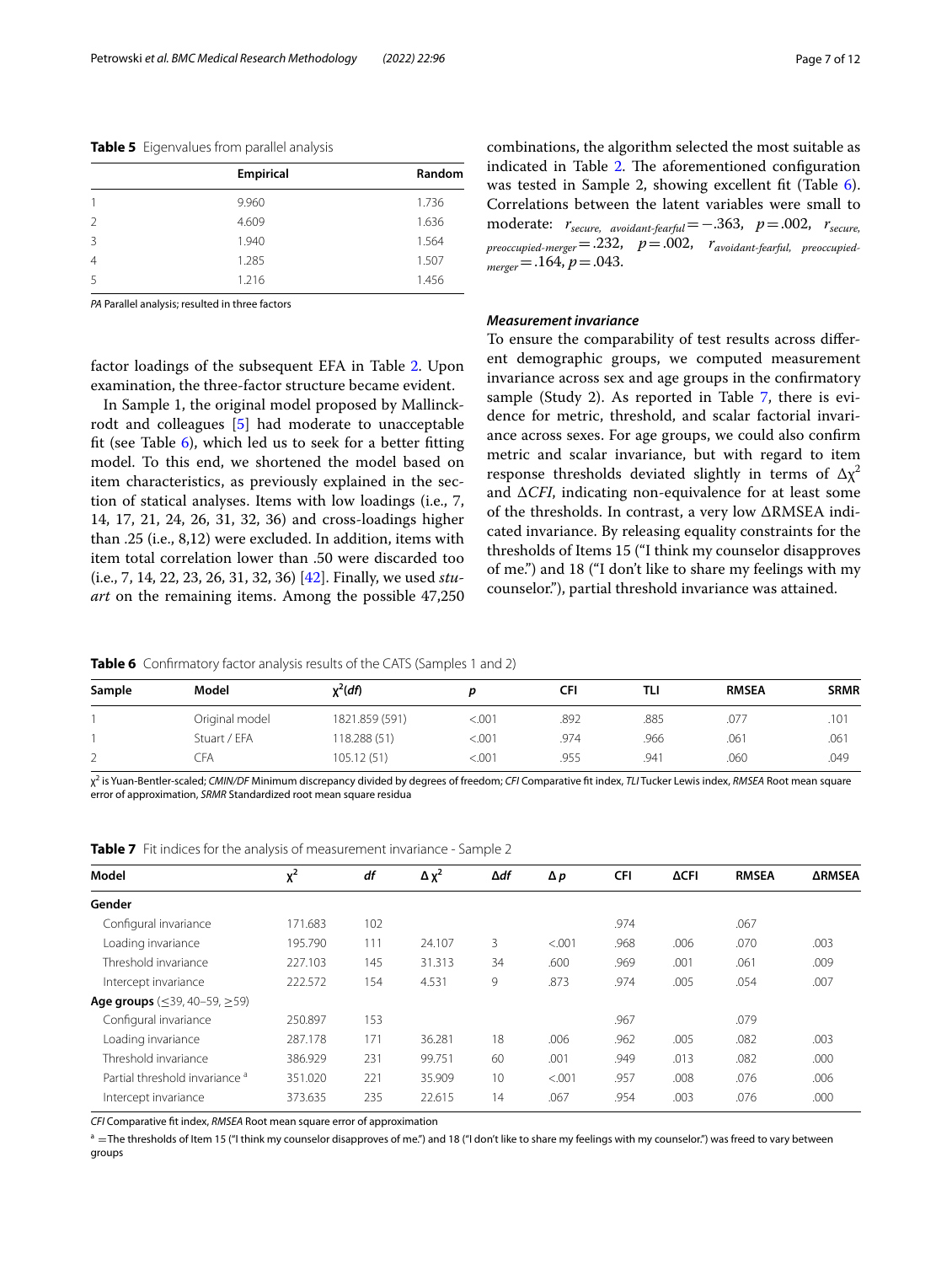<span id="page-6-0"></span>**Table 5** Eigenvalues from parallel analysis

|               | Empirical | Random |
|---------------|-----------|--------|
|               | 9.960     | 1.736  |
| $\mathcal{P}$ | 4.609     | 1.636  |
| 3             | 1.940     | 1.564  |
| 4             | 1.285     | 1.507  |
| 5             | 1.216     | 1.456  |

*PA* Parallel analysis; resulted in three factors

combinations, the algorithm selected the most suitable as indicated in Table [2](#page-3-0). The aforementioned configuration was tested in Sample 2, showing excellent fit (Table [6](#page-6-1)). Correlations between the latent variables were small to moderate: *rsecure, avoidant-fearful*=−.363, *p*=.002, *rsecure, preoccupied-merger*=.232, *p*=.002, *ravoidant-fearful, preoccupiedmerger*=.164, *p*=.043.

#### *Measurement invariance*

factor loadings of the subsequent EFA in Table [2.](#page-3-0) Upon examination, the three-factor structure became evident.

In Sample 1, the original model proposed by Mallinckrodt and colleagues [\[5](#page-10-7)] had moderate to unacceptable ft (see Table [6](#page-6-1)), which led us to seek for a better ftting model. To this end, we shortened the model based on item characteristics, as previously explained in the section of statical analyses. Items with low loadings (i.e., 7, 14, 17, 21, 24, 26, 31, 32, 36) and cross-loadings higher than .25 (i.e., 8,12) were excluded. In addition, items with item total correlation lower than .50 were discarded too (i.e., 7, 14, 22, 23, 26, 31, 32, 36) [[42\]](#page-10-35). Finally, we used *stuart* on the remaining items. Among the possible 47,250 To ensure the comparability of test results across diferent demographic groups, we computed measurement invariance across sex and age groups in the confrmatory sample (Study 2). As reported in Table [7,](#page-6-2) there is evidence for metric, threshold, and scalar factorial invariance across sexes. For age groups, we could also confrm metric and scalar invariance, but with regard to item response thresholds deviated slightly in terms of  $\Delta x^2$ and Δ*CFI*, indicating non-equivalence for at least some of the thresholds. In contrast, a very low ΔRMSEA indicated invariance. By releasing equality constraints for the thresholds of Items 15 ("I think my counselor disapproves of me.") and 18 ("I don't like to share my feelings with my counselor."), partial threshold invariance was attained.

<span id="page-6-1"></span>**Table 6** Confirmatory factor analysis results of the CATS (Samples 1 and 2)

| Sample | Model          | $x^2(df)$      |         | CFI  | TLI  | <b>RMSEA</b> | <b>SRMR</b> |
|--------|----------------|----------------|---------|------|------|--------------|-------------|
|        | Original model | 1821.859 (591) | < 0.001 | .892 | .885 | .077         | .101        |
|        | Stuart / EFA   | 118.288 (51)   | < 0.001 | .974 | .966 | .061         | .061        |
| ∠      | ĴFA            | 105.12 (51)    | < 0.001 | .955 | .941 | .060         | .049        |

χ2 is Yuan-Bentler-scaled; *CMIN/DF* Minimum discrepancy divided by degrees of freedom; *CFI* Comparative ft index, *TLI* Tucker Lewis index, *RMSEA* Root mean square error of approximation, *SRMR* Standardized root mean square residua

<span id="page-6-2"></span>

|  |  | <b>Table 7</b> Fit indices for the analysis of measurement invariance - Sample 2 |  |  |  |
|--|--|----------------------------------------------------------------------------------|--|--|--|
|--|--|----------------------------------------------------------------------------------|--|--|--|

| Model                                            | $x^2$   | df  | $\Delta \chi^2$ | ∆df | $\Delta p$ | <b>CFI</b> | <b>ACFI</b> | <b>RMSEA</b> | <b>ARMSEA</b> |
|--------------------------------------------------|---------|-----|-----------------|-----|------------|------------|-------------|--------------|---------------|
| Gender                                           |         |     |                 |     |            |            |             |              |               |
| Configural invariance                            | 171.683 | 102 |                 |     |            | .974       |             | .067         |               |
| Loading invariance                               | 195.790 | 111 | 24.107          | 3   | < 0.001    | .968       | .006        | .070         | .003          |
| Threshold invariance                             | 227.103 | 145 | 31.313          | 34  | .600       | .969       | .001        | .061         | .009          |
| Intercept invariance                             | 222.572 | 154 | 4.531           | 9   | .873       | .974       | .005        | .054         | .007          |
| <b>Age groups</b> ( $\leq$ 39, 40–59, $\geq$ 59) |         |     |                 |     |            |            |             |              |               |
| Configural invariance                            | 250.897 | 153 |                 |     |            | .967       |             | .079         |               |
| Loading invariance                               | 287.178 | 171 | 36.281          | 18  | .006       | .962       | .005        | .082         | .003          |
| Threshold invariance                             | 386.929 | 231 | 99.751          | 60  | .001       | .949       | .013        | .082         | .000          |
| Partial threshold invariance <sup>a</sup>        | 351.020 | 221 | 35.909          | 10  | < .001     | .957       | .008        | .076         | .006          |
| Intercept invariance                             | 373.635 | 235 | 22.615          | 14  | .067       | .954       | .003        | .076         | .000          |

*CFI* Comparative ft index, *RMSEA* Root mean square error of approximation

<sup>a</sup> = The thresholds of Item 15 ("I think my counselor disapproves of me.") and 18 ("I don't like to share my feelings with my counselor.") was freed to vary between groups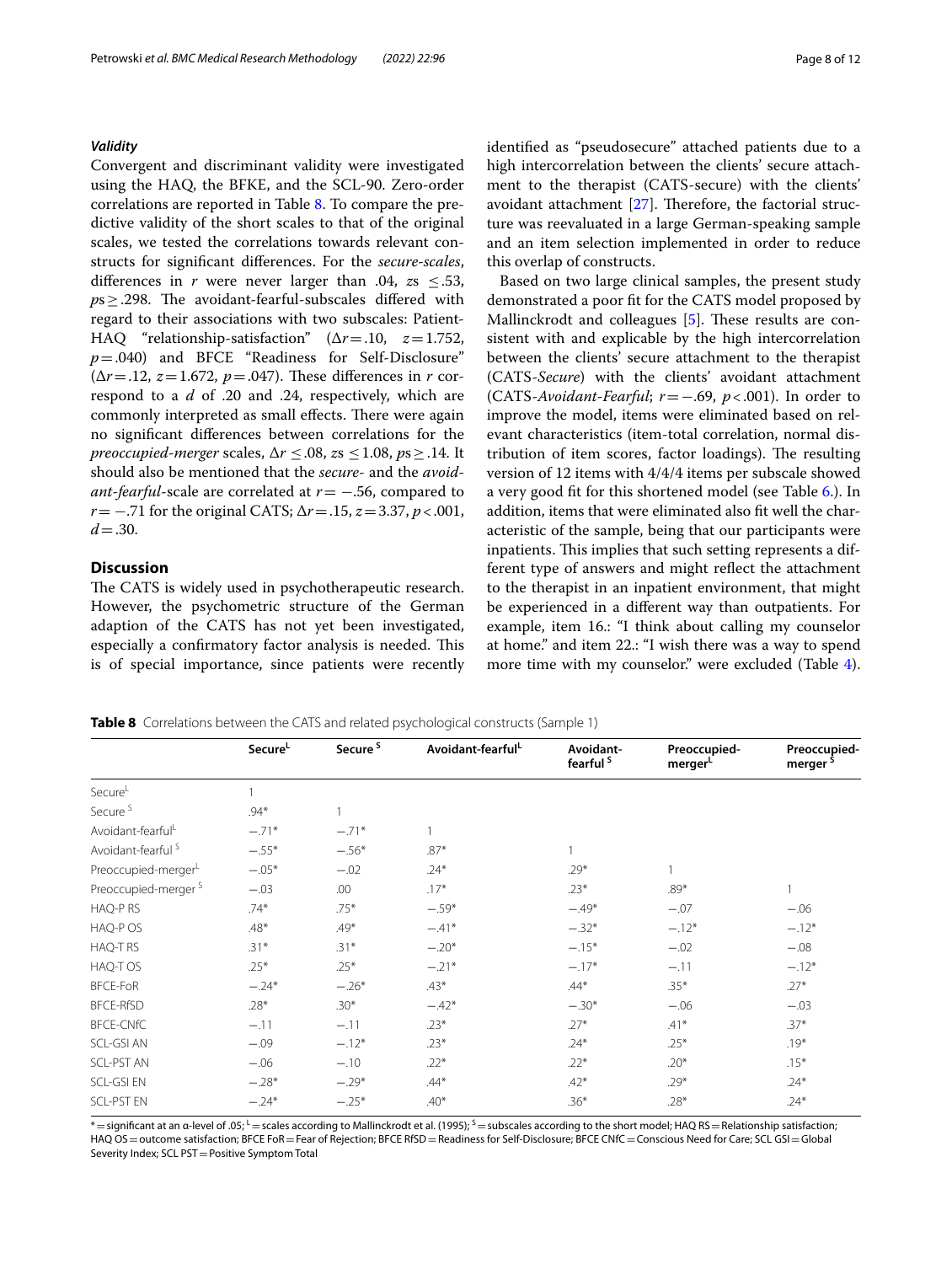#### *Validity*

Convergent and discriminant validity were investigated using the HAQ, the BFKE, and the SCL-90. Zero-order correlations are reported in Table [8.](#page-7-0) To compare the predictive validity of the short scales to that of the original scales, we tested the correlations towards relevant constructs for signifcant diferences. For the *secure-scales*, differences in *r* were never larger than .04,  $zs$  <.53, ps > .298. The avoidant-fearful-subscales differed with regard to their associations with two subscales: Patient-HAQ "relationship-satisfaction" (Δ*r*=.10, *z*=1.752, *p*=.040) and BFCE "Readiness for Self-Disclosure"  $(\Delta r = .12, z = 1.672, p = .047)$ . These differences in *r* correspond to a *d* of .20 and .24, respectively, which are commonly interpreted as small effects. There were again no signifcant diferences between correlations for the *preoccupied-merger* scales, Δ*r* ≤.08, *z*s ≤1.08, *p*s≥.14. It should also be mentioned that the *secure*- and the *avoidant-fearful-scale are correlated at <i>r* = −.56, compared to *r*= −.71 for the original CATS; Δ*r*=.15, *z*=3.37, *p*<.001,  $d = .30$ .

#### **Discussion**

The CATS is widely used in psychotherapeutic research. However, the psychometric structure of the German adaption of the CATS has not yet been investigated, especially a confirmatory factor analysis is needed. This is of special importance, since patients were recently identifed as "pseudosecure" attached patients due to a high intercorrelation between the clients' secure attachment to the therapist (CATS-secure) with the clients' avoidant attachment  $[27]$  $[27]$ . Therefore, the factorial structure was reevaluated in a large German-speaking sample and an item selection implemented in order to reduce this overlap of constructs.

Based on two large clinical samples, the present study demonstrated a poor fit for the CATS model proposed by Mallinckrodt and colleagues  $[5]$  $[5]$ . These results are consistent with and explicable by the high intercorrelation between the clients' secure attachment to the therapist (CATS-*Secure*) with the clients' avoidant attachment (CATS-*Avoidant-Fearful*; *r*=−.69, *p*<.001). In order to improve the model, items were eliminated based on relevant characteristics (item-total correlation, normal distribution of item scores, factor loadings). The resulting version of 12 items with 4/4/4 items per subscale showed a very good ft for this shortened model (see Table [6.](#page-6-1)). In addition, items that were eliminated also ft well the characteristic of the sample, being that our participants were inpatients. This implies that such setting represents a different type of answers and might refect the attachment to the therapist in an inpatient environment, that might be experienced in a diferent way than outpatients. For example, item 16.: "I think about calling my counselor at home." and item 22.: "I wish there was a way to spend more time with my counselor." were excluded (Table [4](#page-5-0)).

Secure<sup>L</sup> Secure<sup>S</sup> Avoidant-fearful<sup>L</sup> Avoidant**fearful S Preoccupied**merger<sup>L</sup> **Preoccupied**merger Secure<sup>L</sup> 2002 1 Secure  $\frac{5}{2}$  . 94\* 1 Avoidant-fearful<sup>L</sup> −.71<sup>\*</sup> −.71<sup>\*</sup> 1 Avoidant-fearful <sup>S</sup>  $-0.55*$   $-0.56*$  .87\* 1 Preoccupied-merger<sup>L</sup>  $-.05*$   $-.02$   $.24*$   $.29*$   $.29*$  1 Preoccupied-merger S  $-0.0$  .00 .17\* .23\* .23\* .89\* .1 HAQ-P RS .74\* .75\* −.59\* –.49\* −.49\* –.07 –.06  $H A Q-P O S$  .48\* .49\*  $-41^*$   $-32^*$   $-12^*$   $-12^*$   $-12^*$ HAQ-T RS .31\* .31\* -.20\* −.15\* -.02 −.08 HAQ-T OS .25\* .25\* .25\* −.21\* −.17\* −.17\* −.11 −.12\* BFCE-FoR −.24\* −.26\* .43\* .44\* .35\* .27\* BFCE-RfSD .28\* .30\*  $-0.42*$   $-0.30*$   $-0.05$   $-0.03$ BFCE-CNfC −.11 −.11 .23\* .27\* .41\* .37\* SCL-GSI AN  $-.09$   $-.12$ <sup>\*</sup> .23<sup>\*</sup> .23<sup>\*</sup> .24<sup>\*</sup> .24<sup>\*</sup> .25<sup>\*</sup> .19<sup>\*</sup> SCL-PST AN  $-0.06$   $-10$  .22\* .22\* .22\* .15\* SCL-GSI EN  $-0.28^*$   $-0.29^*$  .44\* .42\* .42\* .29\* .24\*

<span id="page-7-0"></span>**Table 8** Correlations between the CATS and related psychological constructs (Sample 1)

 $*$  = significant at an α-level of .05; Lescales according to Mallinckrodt et al. (1995); S = subscales according to the short model; HAQ RS = Relationship satisfaction; HAQ OS = outcome satisfaction; BFCE FoR = Fear of Rejection; BFCE RfSD = Readiness for Self-Disclosure; BFCE CNfC = Conscious Need for Care; SCL GSI = Global Severity Index; SCL PST = Positive Symptom Total

SCL-PST EN  $-0.24^*$   $-0.25^*$  .40\* .36\* .28\* .28\* .24\*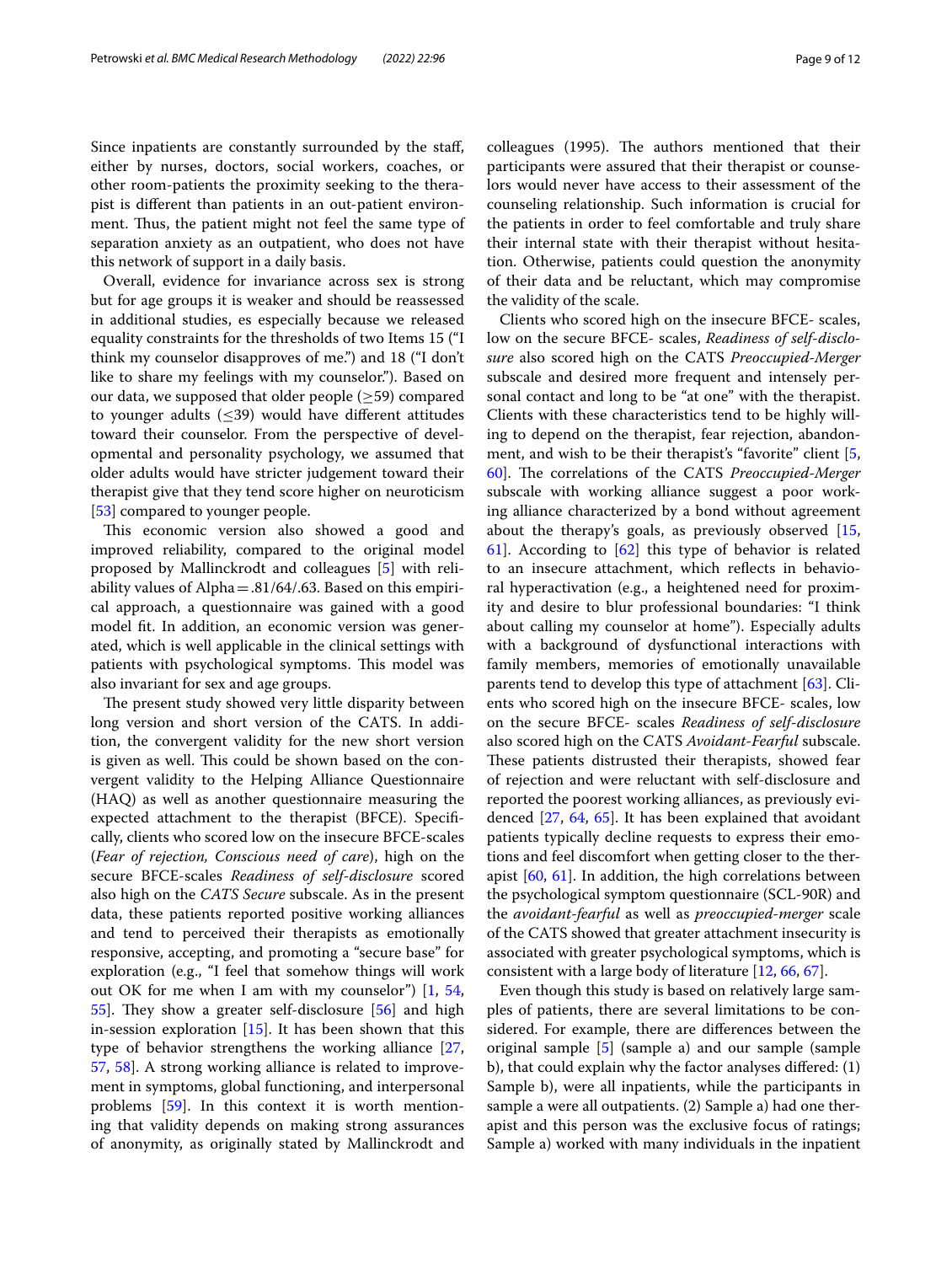Since inpatients are constantly surrounded by the staf, either by nurses, doctors, social workers, coaches, or other room-patients the proximity seeking to the therapist is diferent than patients in an out-patient environment. Thus, the patient might not feel the same type of separation anxiety as an outpatient, who does not have this network of support in a daily basis.

Overall, evidence for invariance across sex is strong but for age groups it is weaker and should be reassessed in additional studies, es especially because we released equality constraints for the thresholds of two Items 15 ("I think my counselor disapproves of me.") and 18 ("I don't like to share my feelings with my counselor."). Based on our data, we supposed that older people  $(\geq 59)$  compared to younger adults  $(\leq 39)$  would have different attitudes toward their counselor. From the perspective of developmental and personality psychology, we assumed that older adults would have stricter judgement toward their therapist give that they tend score higher on neuroticism [[53\]](#page-11-5) compared to younger people.

This economic version also showed a good and improved reliability, compared to the original model proposed by Mallinckrodt and colleagues [\[5](#page-10-7)] with reliability values of Alpha $=$ .81/64/.63. Based on this empirical approach, a questionnaire was gained with a good model ft. In addition, an economic version was generated, which is well applicable in the clinical settings with patients with psychological symptoms. This model was also invariant for sex and age groups.

The present study showed very little disparity between long version and short version of the CATS. In addition, the convergent validity for the new short version is given as well. This could be shown based on the convergent validity to the Helping Alliance Questionnaire (HAQ) as well as another questionnaire measuring the expected attachment to the therapist (BFCE). Specifcally, clients who scored low on the insecure BFCE-scales (*Fear of rejection, Conscious need of care*), high on the secure BFCE-scales *Readiness of self-disclosure* scored also high on the *CATS Secure* subscale. As in the present data, these patients reported positive working alliances and tend to perceived their therapists as emotionally responsive, accepting, and promoting a "secure base" for exploration (e.g., "I feel that somehow things will work out OK for me when I am with my counselor") [\[1](#page-10-0), [54](#page-11-6),  $55$ ]. They show a greater self-disclosure  $[56]$  $[56]$  and high in-session exploration [[15\]](#page-10-13). It has been shown that this type of behavior strengthens the working alliance [\[27](#page-10-21), [57,](#page-11-9) [58\]](#page-11-10). A strong working alliance is related to improvement in symptoms, global functioning, and interpersonal problems [\[59](#page-11-11)]. In this context it is worth mentioning that validity depends on making strong assurances of anonymity, as originally stated by Mallinckrodt and colleagues (1995). The authors mentioned that their participants were assured that their therapist or counselors would never have access to their assessment of the counseling relationship. Such information is crucial for the patients in order to feel comfortable and truly share their internal state with their therapist without hesitation. Otherwise, patients could question the anonymity of their data and be reluctant, which may compromise the validity of the scale.

Clients who scored high on the insecure BFCE- scales, low on the secure BFCE- scales, *Readiness of self-disclosure* also scored high on the CATS *Preoccupied-Merger* subscale and desired more frequent and intensely personal contact and long to be "at one" with the therapist. Clients with these characteristics tend to be highly willing to depend on the therapist, fear rejection, abandon-ment, and wish to be their therapist's "favorite" client [\[5](#page-10-7), [60\]](#page-11-12). The correlations of the CATS *Preoccupied-Merger* subscale with working alliance suggest a poor working alliance characterized by a bond without agreement about the therapy's goals, as previously observed [[15](#page-10-13), [61\]](#page-11-13). According to [[62](#page-11-14)] this type of behavior is related to an insecure attachment, which refects in behavioral hyperactivation (e.g., a heightened need for proximity and desire to blur professional boundaries: "I think about calling my counselor at home"). Especially adults with a background of dysfunctional interactions with family members, memories of emotionally unavailable parents tend to develop this type of attachment [\[63\]](#page-11-15). Clients who scored high on the insecure BFCE- scales, low on the secure BFCE- scales *Readiness of self-disclosure* also scored high on the CATS *Avoidant-Fearful* subscale. These patients distrusted their therapists, showed fear of rejection and were reluctant with self-disclosure and reported the poorest working alliances, as previously evidenced [[27,](#page-10-21) [64](#page-11-16), [65\]](#page-11-17). It has been explained that avoidant patients typically decline requests to express their emotions and feel discomfort when getting closer to the therapist [\[60](#page-11-12), [61](#page-11-13)]. In addition, the high correlations between the psychological symptom questionnaire (SCL-90R) and the *avoidant-fearful* as well as *preoccupied-merger* scale of the CATS showed that greater attachment insecurity is associated with greater psychological symptoms, which is consistent with a large body of literature [\[12,](#page-10-10) [66](#page-11-18), [67\]](#page-11-19).

Even though this study is based on relatively large samples of patients, there are several limitations to be considered. For example, there are diferences between the original sample [\[5](#page-10-7)] (sample a) and our sample (sample b), that could explain why the factor analyses difered: (1) Sample b), were all inpatients, while the participants in sample a were all outpatients. (2) Sample a) had one therapist and this person was the exclusive focus of ratings; Sample a) worked with many individuals in the inpatient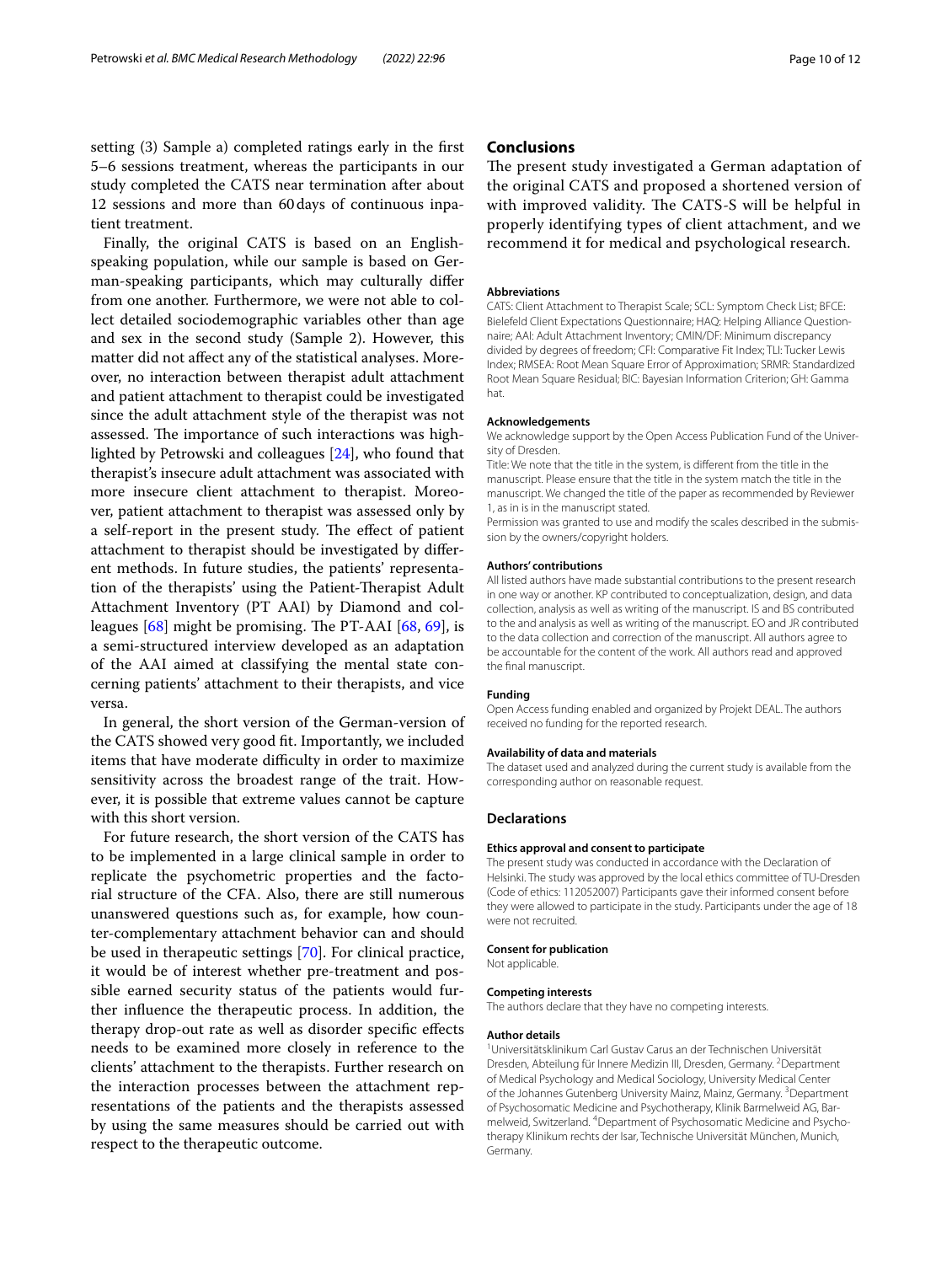setting (3) Sample a) completed ratings early in the frst 5–6 sessions treatment, whereas the participants in our study completed the CATS near termination after about 12 sessions and more than 60days of continuous inpatient treatment.

Finally, the original CATS is based on an Englishspeaking population, while our sample is based on German-speaking participants, which may culturally difer from one another. Furthermore, we were not able to collect detailed sociodemographic variables other than age and sex in the second study (Sample 2). However, this matter did not afect any of the statistical analyses. Moreover, no interaction between therapist adult attachment and patient attachment to therapist could be investigated since the adult attachment style of the therapist was not assessed. The importance of such interactions was highlighted by Petrowski and colleagues [\[24](#page-10-22)], who found that therapist's insecure adult attachment was associated with more insecure client attachment to therapist. Moreover, patient attachment to therapist was assessed only by a self-report in the present study. The effect of patient attachment to therapist should be investigated by diferent methods. In future studies, the patients' representation of the therapists' using the Patient-Therapist Adult Attachment Inventory (PT AAI) by Diamond and colleagues  $[68]$  $[68]$  $[68]$  might be promising. The PT-AAI  $[68, 69]$  $[68, 69]$  $[68, 69]$ , is a semi-structured interview developed as an adaptation of the AAI aimed at classifying the mental state concerning patients' attachment to their therapists, and vice versa.

In general, the short version of the German-version of the CATS showed very good ft. Importantly, we included items that have moderate difficulty in order to maximize sensitivity across the broadest range of the trait. However, it is possible that extreme values cannot be capture with this short version.

For future research, the short version of the CATS has to be implemented in a large clinical sample in order to replicate the psychometric properties and the factorial structure of the CFA. Also, there are still numerous unanswered questions such as, for example, how counter-complementary attachment behavior can and should be used in therapeutic settings [\[70\]](#page-11-22). For clinical practice, it would be of interest whether pre-treatment and possible earned security status of the patients would further infuence the therapeutic process. In addition, the therapy drop-out rate as well as disorder specifc efects needs to be examined more closely in reference to the clients' attachment to the therapists. Further research on the interaction processes between the attachment representations of the patients and the therapists assessed by using the same measures should be carried out with respect to the therapeutic outcome.

#### **Conclusions**

The present study investigated a German adaptation of the original CATS and proposed a shortened version of with improved validity. The CATS-S will be helpful in properly identifying types of client attachment, and we recommend it for medical and psychological research.

#### **Abbreviations**

CATS: Client Attachment to Therapist Scale; SCL: Symptom Check List; BFCE: Bielefeld Client Expectations Questionnaire; HAQ: Helping Alliance Questionnaire; AAI: Adult Attachment Inventory; CMIN/DF: Minimum discrepancy divided by degrees of freedom; CFI: Comparative Fit Index; TLI: Tucker Lewis Index; RMSEA: Root Mean Square Error of Approximation; SRMR: Standardized Root Mean Square Residual; BIC: Bayesian Information Criterion; GH: Gamma hat.

#### **Acknowledgements**

We acknowledge support by the Open Access Publication Fund of the University of Dresden.

Title: We note that the title in the system, is diferent from the title in the manuscript. Please ensure that the title in the system match the title in the manuscript. We changed the title of the paper as recommended by Reviewer 1, as in is in the manuscript stated.

Permission was granted to use and modify the scales described in the submission by the owners/copyright holders.

#### **Authors' contributions**

All listed authors have made substantial contributions to the present research in one way or another. KP contributed to conceptualization, design, and data collection, analysis as well as writing of the manuscript. IS and BS contributed to the and analysis as well as writing of the manuscript. EO and JR contributed to the data collection and correction of the manuscript. All authors agree to be accountable for the content of the work. All authors read and approved the fnal manuscript.

#### **Funding**

Open Access funding enabled and organized by Projekt DEAL. The authors received no funding for the reported research.

#### **Availability of data and materials**

The dataset used and analyzed during the current study is available from the corresponding author on reasonable request.

#### **Declarations**

#### **Ethics approval and consent to participate**

The present study was conducted in accordance with the Declaration of Helsinki. The study was approved by the local ethics committee of TU-Dresden (Code of ethics: 112052007) Participants gave their informed consent before they were allowed to participate in the study. Participants under the age of 18 were not recruited.

#### **Consent for publication**

Not applicable.

#### **Competing interests**

The authors declare that they have no competing interests.

#### **Author details**

1 Universitätsklinikum Carl Gustav Carus an der Technischen Universität Dresden, Abteilung für Innere Medizin III, Dresden, Germany. <sup>2</sup> Department of Medical Psychology and Medical Sociology, University Medical Center of the Johannes Gutenberg University Mainz, Mainz, Germany. <sup>3</sup> Department of Psychosomatic Medicine and Psychotherapy, Klinik Barmelweid AG, Barmelweid, Switzerland. 4 Department of Psychosomatic Medicine and Psychotherapy Klinikum rechts der Isar, Technische Universität München, Munich, Germany.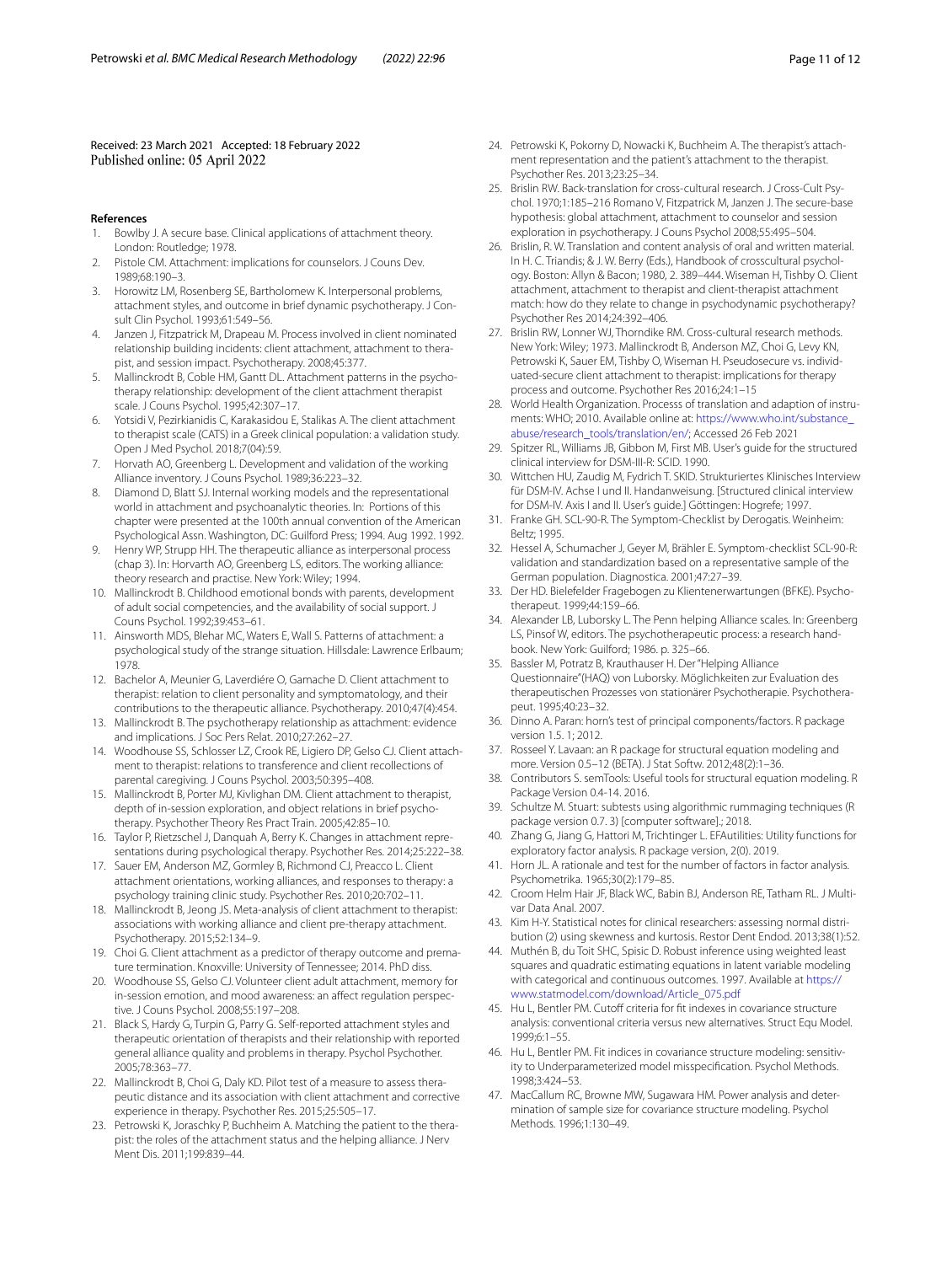Received: 23 March 2021 Accepted: 18 February 2022<br>Published online: 05 April 2022

#### **References**

- <span id="page-10-0"></span>Bowlby J. A secure base. Clinical applications of attachment theory. London: Routledge; 1978.
- <span id="page-10-1"></span>2. Pistole CM. Attachment: implications for counselors. J Couns Dev. 1989;68:190–3.
- <span id="page-10-2"></span>3. Horowitz LM, Rosenberg SE, Bartholomew K. Interpersonal problems, attachment styles, and outcome in brief dynamic psychotherapy. J Consult Clin Psychol. 1993;61:549–56.
- <span id="page-10-17"></span>4. Janzen J, Fitzpatrick M, Drapeau M. Process involved in client nominated relationship building incidents: client attachment, attachment to therapist, and session impact. Psychotherapy. 2008;45:377.
- <span id="page-10-7"></span>5. Mallinckrodt B, Coble HM, Gantt DL. Attachment patterns in the psychotherapy relationship: development of the client attachment therapist scale. J Couns Psychol. 1995;42:307–17.
- <span id="page-10-3"></span>6. Yotsidi V, Pezirkianidis C, Karakasidou E, Stalikas A. The client attachment to therapist scale (CATS) in a Greek clinical population: a validation study. Open J Med Psychol. 2018;7(04):59.
- <span id="page-10-4"></span>Horvath AO, Greenberg L. Development and validation of the working Alliance inventory. J Couns Psychol. 1989;36:223–32.
- <span id="page-10-5"></span>8. Diamond D, Blatt SJ. Internal working models and the representational world in attachment and psychoanalytic theories. In: Portions of this chapter were presented at the 100th annual convention of the American Psychological Assn. Washington, DC: Guilford Press; 1994. Aug 1992. 1992.
- <span id="page-10-6"></span>9. Henry WP, Strupp HH. The therapeutic alliance as interpersonal process (chap 3). In: Horvarth AO, Greenberg LS, editors. The working alliance: theory research and practise. New York: Wiley; 1994.
- <span id="page-10-8"></span>10. Mallinckrodt B. Childhood emotional bonds with parents, development of adult social competencies, and the availability of social support. J Couns Psychol. 1992;39:453–61.
- <span id="page-10-9"></span>11. Ainsworth MDS, Blehar MC, Waters E, Wall S. Patterns of attachment: a psychological study of the strange situation. Hillsdale: Lawrence Erlbaum; 1978.
- <span id="page-10-10"></span>12. Bachelor A, Meunier G, Laverdiére O, Gamache D. Client attachment to therapist: relation to client personality and symptomatology, and their contributions to the therapeutic alliance. Psychotherapy. 2010;47(4):454.
- <span id="page-10-11"></span>13. Mallinckrodt B. The psychotherapy relationship as attachment: evidence and implications. J Soc Pers Relat. 2010;27:262–27.
- <span id="page-10-12"></span>14. Woodhouse SS, Schlosser LZ, Crook RE, Ligiero DP, Gelso CJ. Client attachment to therapist: relations to transference and client recollections of parental caregiving. J Couns Psychol. 2003;50:395–408.
- <span id="page-10-13"></span>15. Mallinckrodt B, Porter MJ, Kivlighan DM. Client attachment to therapist, depth of in-session exploration, and object relations in brief psychotherapy. Psychother Theory Res Pract Train. 2005;42:85–10.
- <span id="page-10-14"></span>16. Taylor P, Rietzschel J, Danquah A, Berry K. Changes in attachment representations during psychological therapy. Psychother Res. 2014;25:222–38.
- 17. Sauer EM, Anderson MZ, Gormley B, Richmond CJ, Preacco L. Client attachment orientations, working alliances, and responses to therapy: a psychology training clinic study. Psychother Res. 2010;20:702–11.
- <span id="page-10-15"></span>18. Mallinckrodt B, Jeong JS. Meta-analysis of client attachment to therapist: associations with working alliance and client pre-therapy attachment. Psychotherapy. 2015;52:134–9.
- <span id="page-10-16"></span>19. Choi G. Client attachment as a predictor of therapy outcome and premature termination. Knoxville: University of Tennessee; 2014. PhD diss.
- <span id="page-10-18"></span>20. Woodhouse SS, Gelso CJ. Volunteer client adult attachment, memory for in-session emotion, and mood awareness: an afect regulation perspective. J Couns Psychol. 2008;55:197–208.
- <span id="page-10-19"></span>21. Black S, Hardy G, Turpin G, Parry G. Self-reported attachment styles and therapeutic orientation of therapists and their relationship with reported general alliance quality and problems in therapy. Psychol Psychother. 2005;78:363–77.
- 22. Mallinckrodt B, Choi G, Daly KD. Pilot test of a measure to assess therapeutic distance and its association with client attachment and corrective experience in therapy. Psychother Res. 2015;25:505–17.
- 23. Petrowski K, Joraschky P, Buchheim A. Matching the patient to the therapist: the roles of the attachment status and the helping alliance. J Nerv Ment Dis. 2011;199:839–44.
- <span id="page-10-22"></span>24. Petrowski K, Pokorny D, Nowacki K, Buchheim A. The therapist's attachment representation and the patient's attachment to the therapist. Psychother Res. 2013;23:25–34.
- <span id="page-10-23"></span>25. Brislin RW. Back-translation for cross-cultural research. J Cross-Cult Psychol. 1970;1:185–216 Romano V, Fitzpatrick M, Janzen J. The secure-base hypothesis: global attachment, attachment to counselor and session exploration in psychotherapy. J Couns Psychol 2008;55:495–504.
- <span id="page-10-20"></span>26. Brislin, R. W. Translation and content analysis of oral and written material. In H. C. Triandis; & J. W. Berry (Eds.), Handbook of crosscultural psychology. Boston: Allyn & Bacon; 1980, 2. 389–444. Wiseman H, Tishby O. Client attachment, attachment to therapist and client-therapist attachment match: how do they relate to change in psychodynamic psychotherapy? Psychother Res 2014;24:392–406.
- <span id="page-10-21"></span>27. Brislin RW, Lonner WJ, Thorndike RM. Cross-cultural research methods. New York: Wiley; 1973. Mallinckrodt B, Anderson MZ, Choi G, Levy KN, Petrowski K, Sauer EM, Tishby O, Wiseman H. Pseudosecure vs. individuated-secure client attachment to therapist: implications for therapy process and outcome. Psychother Res 2016;24:1–15
- <span id="page-10-24"></span>28. World Health Organization. Processs of translation and adaption of instruments: WHO; 2010. Available online at: [https://www.who.int/substance\\_](https://www.who.int/substance_abuse/research_tools/translation/en/) [abuse/research\\_tools/translation/en/](https://www.who.int/substance_abuse/research_tools/translation/en/); Accessed 26 Feb 2021
- <span id="page-10-25"></span>29. Spitzer RL, Williams JB, Gibbon M, First MB. User's guide for the structured clinical interview for DSM-III-R: SCID. 1990.
- <span id="page-10-26"></span>30. Wittchen HU, Zaudig M, Fydrich T. SKID. Strukturiertes Klinisches Interview für DSM-IV. Achse I und II. Handanweisung. [Structured clinical interview for DSM-IV. Axis I and II. User's guide.] Göttingen: Hogrefe; 1997.
- <span id="page-10-27"></span>31. Franke GH. SCL-90-R. The Symptom-Checklist by Derogatis. Weinheim: Beltz; 1995.
- <span id="page-10-28"></span>32. Hessel A, Schumacher J, Geyer M, Brähler E. Symptom-checklist SCL-90-R: validation and standardization based on a representative sample of the German population. Diagnostica. 2001;47:27–39.
- <span id="page-10-29"></span>33. Der HD. Bielefelder Fragebogen zu Klientenerwartungen (BFKE). Psychotherapeut. 1999;44:159–66.
- <span id="page-10-30"></span>34. Alexander LB, Luborsky L. The Penn helping Alliance scales. In: Greenberg LS, Pinsof W, editors. The psychotherapeutic process: a research handbook. New York: Guilford; 1986. p. 325–66.
- <span id="page-10-31"></span>35. Bassler M, Potratz B, Krauthauser H. Der "Helping Alliance Questionnaire"(HAQ) von Luborsky. Möglichkeiten zur Evaluation des therapeutischen Prozesses von stationärer Psychotherapie. Psychotherapeut. 1995;40:23–32.
- <span id="page-10-32"></span>36. Dinno A. Paran: horn's test of principal components/factors. R package version 1.5. 1; 2012.
- 37. Rosseel Y. Lavaan: an R package for structural equation modeling and more. Version 0.5–12 (BETA). J Stat Softw. 2012;48(2):1–36.
- 38. Contributors S. semTools: Useful tools for structural equation modeling. R Package Version 0.4-14. 2016.
- 39. Schultze M. Stuart: subtests using algorithmic rummaging techniques (R package version 0.7. 3) [computer software].; 2018.
- <span id="page-10-33"></span>40. Zhang G, Jiang G, Hattori M, Trichtinger L. EFAutilities: Utility functions for exploratory factor analysis. R package version, 2(0). 2019.
- <span id="page-10-34"></span>41. Horn JL. A rationale and test for the number of factors in factor analysis. Psychometrika. 1965;30(2):179–85.
- <span id="page-10-35"></span>42. Croom Helm Hair JF, Black WC, Babin BJ, Anderson RE, Tatham RL. J Multivar Data Anal. 2007.
- <span id="page-10-36"></span>43. Kim H-Y. Statistical notes for clinical researchers: assessing normal distribution (2) using skewness and kurtosis. Restor Dent Endod. 2013;38(1):52.
- <span id="page-10-37"></span>44. Muthén B, du Toit SHC, Spisic D. Robust inference using weighted least squares and quadratic estimating equations in latent variable modeling with categorical and continuous outcomes. 1997. Available at [https://](https://www.statmodel.com/download/Article_075.pdf) [www.statmodel.com/download/Article\\_075.pdf](https://www.statmodel.com/download/Article_075.pdf)
- <span id="page-10-38"></span>45. Hu L, Bentler PM. Cutoff criteria for fit indexes in covariance structure analysis: conventional criteria versus new alternatives. Struct Equ Model. 1999;6:1–55.
- 46. Hu L, Bentler PM. Fit indices in covariance structure modeling: sensitivity to Underparameterized model misspecifcation. Psychol Methods. 1998;3:424–53.
- 47. MacCallum RC, Browne MW, Sugawara HM. Power analysis and determination of sample size for covariance structure modeling. Psychol Methods. 1996;1:130–49.